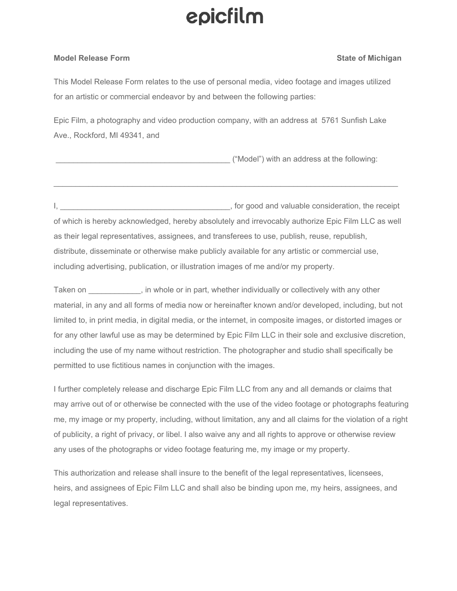# epicfilm

### **Model Release Form State of Michigan**

This Model Release Form relates to the use of personal media, video footage and images utilized for an artistic or commercial endeavor by and between the following parties:

Epic Film, a photography and video production company, with an address at 5761 Sunfish Lake Ave., Rockford, MI 49341, and

\_\_\_\_\_\_\_\_\_\_\_\_\_\_\_\_\_\_\_\_\_\_\_\_\_\_\_\_\_\_\_\_\_\_\_\_\_\_\_\_ ("Model") with an address at the following:

I, \_\_\_\_\_\_\_\_\_\_\_\_\_\_\_\_\_\_\_\_\_\_\_\_\_\_\_\_\_\_\_\_\_\_\_\_\_\_\_, for good and valuable consideration, the receipt of which is hereby acknowledged, hereby absolutely and irrevocably authorize Epic Film LLC as well as their legal representatives, assignees, and transferees to use, publish, reuse, republish, distribute, disseminate or otherwise make publicly available for any artistic or commercial use, including advertising, publication, or illustration images of me and/or my property.

 $\mathcal{L}_\mathcal{L} = \{ \mathcal{L}_\mathcal{L} = \{ \mathcal{L}_\mathcal{L} = \{ \mathcal{L}_\mathcal{L} = \{ \mathcal{L}_\mathcal{L} = \{ \mathcal{L}_\mathcal{L} = \{ \mathcal{L}_\mathcal{L} = \{ \mathcal{L}_\mathcal{L} = \{ \mathcal{L}_\mathcal{L} = \{ \mathcal{L}_\mathcal{L} = \{ \mathcal{L}_\mathcal{L} = \{ \mathcal{L}_\mathcal{L} = \{ \mathcal{L}_\mathcal{L} = \{ \mathcal{L}_\mathcal{L} = \{ \mathcal{L}_\mathcal{$ 

Taken on \_\_\_\_\_\_\_\_\_\_\_\_, in whole or in part, whether individually or collectively with any other material, in any and all forms of media now or hereinafter known and/or developed, including, but not limited to, in print media, in digital media, or the internet, in composite images, or distorted images or for any other lawful use as may be determined by Epic Film LLC in their sole and exclusive discretion, including the use of my name without restriction. The photographer and studio shall specifically be permitted to use fictitious names in conjunction with the images.

I further completely release and discharge Epic Film LLC from any and all demands or claims that may arrive out of or otherwise be connected with the use of the video footage or photographs featuring me, my image or my property, including, without limitation, any and all claims for the violation of a right of publicity, a right of privacy, or libel. I also waive any and all rights to approve or otherwise review any uses of the photographs or video footage featuring me, my image or my property.

This authorization and release shall insure to the benefit of the legal representatives, licensees, heirs, and assignees of Epic Film LLC and shall also be binding upon me, my heirs, assignees, and legal representatives.